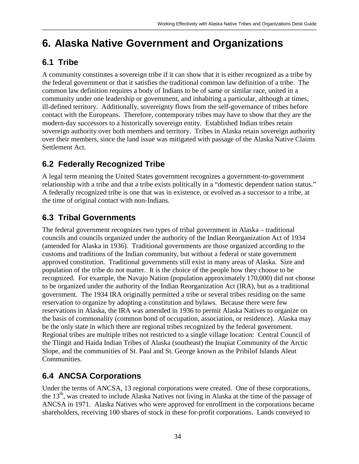# **6. Alaska Native Government and Organizations**

### **6.1 Tribe**

A community constitutes a sovereign tribe if it can show that it is either recognized as a tribe by the federal government or that it satisfies the traditional common law definition of a tribe. The common law definition requires a body of Indians to be of same or similar race, united in a community under one leadership or government, and inhabiting a particular, although at times, ill-defined territory. Additionally, sovereignty flows from the self-governance of tribes before contact with the Europeans. Therefore, contemporary tribes may have to show that they are the modern-day successors to a historically sovereign entity. Established Indian tribes retain sovereign authority over both members and territory. Tribes in Alaska retain sovereign authority over their members, since the land issue was mitigated with passage of the Alaska Native Claims Settlement Act.

## **6.2 Federally Recognized Tribe**

A legal term meaning the United States government recognizes a government-to-government relationship with a tribe and that a tribe exists politically in a "domestic dependent nation status." A federally recognized tribe is one that was in existence, or evolved as a successor to a tribe, at the time of original contact with non-Indians.

### **6.3 Tribal Governments**

The federal government recognizes two types of tribal government in Alaska – traditional councils and councils organized under the authority of the Indian Reorganization Act of 1934 (amended for Alaska in 1936). Traditional governments are those organized according to the customs and traditions of the Indian community, but without a federal or state government approved constitution. Traditional governments still exist in many areas of Alaska. Size and population of the tribe do not matter. It is the choice of the people how they choose to be recognized. For example, the Navajo Nation (population approximately 170,000) did not choose to be organized under the authority of the Indian Reorganization Act (IRA), but as a traditional government. The 1934 IRA originally permitted a tribe or several tribes residing on the same reservation to organize by adopting a constitution and bylaws. Because there were few reservations in Alaska, the IRA was amended in 1936 to permit Alaska Natives to organize on the basis of commonality (common bond of occupation, association, or residence). Alaska may be the only state in which there are regional tribes recognized by the federal government. Regional tribes are multiple tribes not restricted to a single village location: Central Council of the Tlingit and Haida Indian Tribes of Alaska (southeast) the Inupiat Community of the Arctic Slope, and the communities of St. Paul and St. George known as the Pribilof Islands Aleut **Communities** 

## **6.4 ANCSA Corporations**

Under the terms of ANCSA, 13 regional corporations were created. One of these corporations, the 13<sup>th</sup>, was created to include Alaska Natives not living in Alaska at the time of the passage of ANCSA in 1971. Alaska Natives who were approved for enrollment in the corporations became shareholders, receiving 100 shares of stock in these for-profit corporations. Lands conveyed to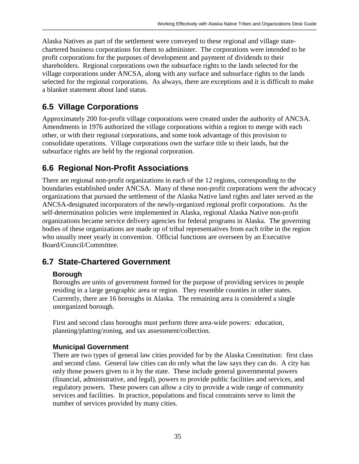Alaska Natives as part of the settlement were conveyed to these regional and village statechartered business corporations for them to administer. The corporations were intended to be profit corporations for the purposes of development and payment of dividends to their shareholders. Regional corporations own the subsurface rights to the lands selected for the village corporations under ANCSA, along with any surface and subsurface rights to the lands selected for the regional corporations. As always, there are exceptions and it is difficult to make a blanket statement about land status.

## **6.5 Village Corporations**

Approximately 200 for-profit village corporations were created under the authority of ANCSA. Amendments in 1976 authorized the village corporations within a region to merge with each other, or with their regional corporations, and some took advantage of this provision to consolidate operations. Village corporations own the surface title to their lands, but the subsurface rights are held by the regional corporation.

## **6.6 Regional Non-Profit Associations**

There are regional non-profit organizations in each of the 12 regions, corresponding to the boundaries established under ANCSA. Many of these non-profit corporations were the advocacy organizations that pursued the settlement of the Alaska Native land rights and later served as the ANCSA-designated incorporators of the newly-organized regional profit corporations. As the self-determination policies were implemented in Alaska, regional Alaska Native non-profit organizations became service delivery agencies for federal programs in Alaska. The governing bodies of these organizations are made up of tribal representatives from each tribe in the region who usually meet yearly in convention. Official functions are overseen by an Executive Board/Council/Committee.

## **6.7 State-Chartered Government**

### **Borough**

Boroughs are units of government formed for the purpose of providing services to people residing in a large geographic area or region. They resemble counties in other states. Currently, there are 16 boroughs in Alaska. The remaining area is considered a single unorganized borough.

First and second class boroughs must perform three area-wide powers: education, planning/platting/zoning, and tax assessment/collection.

### **Municipal Government**

There are two types of general law cities provided for by the Alaska Constitution: first class and second class. General law cities can do only what the law says they can do. A city has only those powers given to it by the state. These include general governmental powers (financial, administrative, and legal), powers to provide public facilities and services, and regulatory powers. These powers can allow a city to provide a wide range of community services and facilities. In practice, populations and fiscal constraints serve to limit the number of services provided by many cities.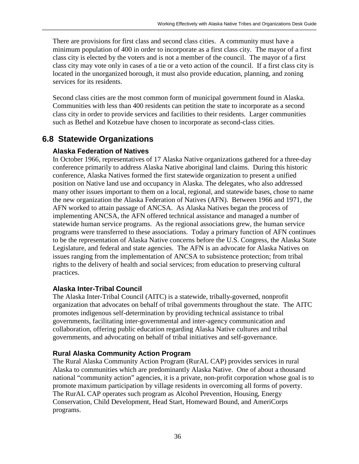There are provisions for first class and second class cities. A community must have a minimum population of 400 in order to incorporate as a first class city. The mayor of a first class city is elected by the voters and is not a member of the council. The mayor of a first class city may vote only in cases of a tie or a veto action of the council. If a first class city is located in the unorganized borough, it must also provide education, planning, and zoning services for its residents.

Second class cities are the most common form of municipal government found in Alaska. Communities with less than 400 residents can petition the state to incorporate as a second class city in order to provide services and facilities to their residents. Larger communities such as Bethel and Kotzebue have chosen to incorporate as second-class cities.

### **6.8 Statewide Organizations**

#### **Alaska Federation of Natives**

In October 1966, representatives of 17 Alaska Native organizations gathered for a three-day conference primarily to address Alaska Native aboriginal land claims. During this historic conference, Alaska Natives formed the first statewide organization to present a unified position on Native land use and occupancy in Alaska. The delegates, who also addressed many other issues important to them on a local, regional, and statewide bases, chose to name the new organization the Alaska Federation of Natives (AFN). Between 1966 and 1971, the AFN worked to attain passage of ANCSA. As Alaska Natives began the process of implementing ANCSA, the AFN offered technical assistance and managed a number of statewide human service programs. As the regional associations grew, the human service programs were transferred to these associations. Today a primary function of AFN continues to be the representation of Alaska Native concerns before the U.S. Congress, the Alaska State Legislature, and federal and state agencies. The AFN is an advocate for Alaska Natives on issues ranging from the implementation of ANCSA to subsistence protection; from tribal rights to the delivery of health and social services; from education to preserving cultural practices.

#### **Alaska Inter-Tribal Council**

The Alaska Inter-Tribal Council (AITC) is a statewide, tribally-governed, nonprofit organization that advocates on behalf of tribal governments throughout the state. The AITC promotes indigenous self-determination by providing technical assistance to tribal governments, facilitating inter-governmental and inter-agency communication and collaboration, offering public education regarding Alaska Native cultures and tribal governments, and advocating on behalf of tribal initiatives and self-governance.

#### **Rural Alaska Community Action Program**

The Rural Alaska Community Action Program (RurAL CAP) provides services in rural Alaska to communities which are predominantly Alaska Native. One of about a thousand national "community action" agencies, it is a private, non-profit corporation whose goal is to promote maximum participation by village residents in overcoming all forms of poverty. The RurAL CAP operates such program as Alcohol Prevention, Housing, Energy Conservation, Child Development, Head Start, Homeward Bound, and AmeriCorps programs.